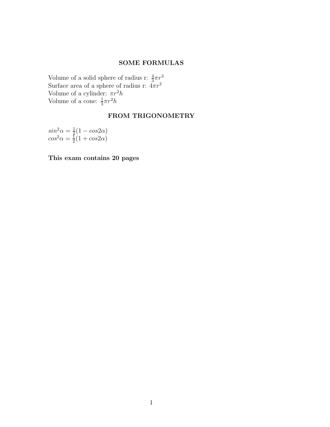## SOME FORMULAS

Volume of a solid sphere of radius r:  $\frac{4}{3}\pi r^3$ Surface area of a sphere of radius r:  $4\pi r^2$ Volume of a cylinder:  $\pi r^2 h$ Volume of a cone:  $\frac{1}{3}\pi r^2 h$ 

# FROM TRIGONOMETRY

 $sin^2\alpha = \frac{1}{2}$  $rac{1}{2}(1-cos2\alpha)$  $cos^2\alpha = \frac{1}{2}$  $rac{1}{2}(1 + cos 2\alpha)$ 

This exam contains 20 pages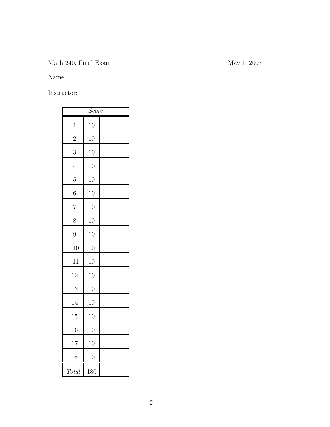Math 240, Final Exam May 1, 2003

Name:

Instructor:

| Score          |     |  |
|----------------|-----|--|
| $\mathbf{1}$   | 10  |  |
| $\overline{2}$ | 10  |  |
| 3              | 10  |  |
| $\overline{4}$ | 10  |  |
| 5              | 10  |  |
| 6              | 10  |  |
| 7              | 10  |  |
| 8              | 10  |  |
| 9              | 10  |  |
| 10             | 10  |  |
| 11             | 10  |  |
| 12             | 10  |  |
| 13             | 10  |  |
| 14             | 10  |  |
| 15             | 10  |  |
| 16             | 10  |  |
| 17             | 10  |  |
| 18             | 10  |  |
| Total          | 180 |  |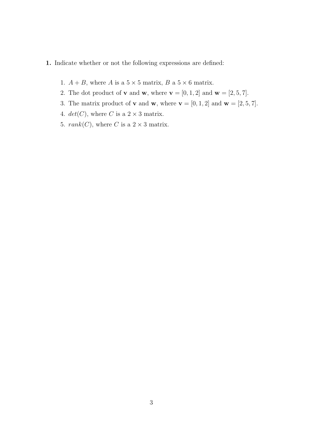#### 1. Indicate whether or not the following expressions are defined:

- 1.  $A + B$ , where A is a  $5 \times 5$  matrix, B a  $5 \times 6$  matrix.
- 2. The dot product of **v** and **w**, where  $\mathbf{v} = [0, 1, 2]$  and  $\mathbf{w} = [2, 5, 7]$ .
- 3. The matrix product of **v** and **w**, where  $\mathbf{v} = [0, 1, 2]$  and  $\mathbf{w} = [2, 5, 7]$ .
- 4.  $det(C)$ , where C is a  $2 \times 3$  matrix.
- 5.  $rank(C)$ , where C is a  $2 \times 3$  matrix.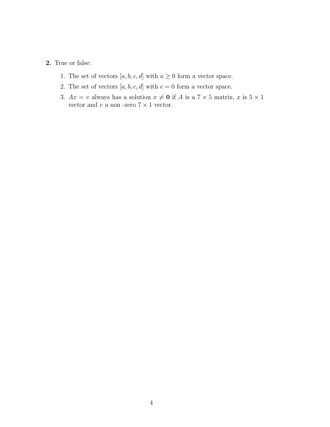## 2. True or false:

- 1. The set of vectors  $[a, b, c, d]$  with  $a \ge 0$  form a vector space.
- 2. The set of vectors  $[a, b, c, d]$  with  $c = 0$  form a vector space.
- 3.  $Ax = v$  always has a solution  $x \neq 0$  if A is a  $7 \times 5$  matrix, x is  $5 \times 1$ vector and  $v$  a non -zero  $7\times 1$  vector.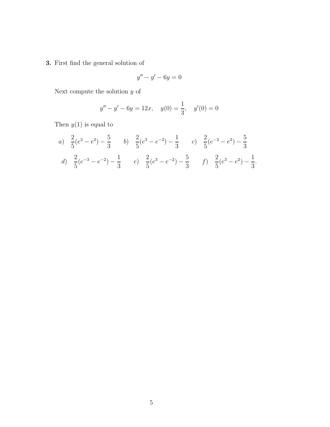3. First find the general solution of

$$
y'' - y' - 6y = 0
$$

Next compute the solution  $\boldsymbol{y}$  of

$$
y'' - y' - 6y = 12x
$$
,  $y(0) = \frac{1}{3}$ ,  $y'(0) = 0$ 

Then  $y(1)$  is equal to

a) 
$$
\frac{2}{5}(e^3 - e^2) - \frac{5}{3}
$$
 b)  $\frac{2}{5}(e^3 - e^{-2}) - \frac{1}{3}$  c)  $\frac{2}{5}(e^{-3} - e^2) - \frac{5}{3}$   
d)  $\frac{2}{5}(e^{-3} - e^{-2}) - \frac{1}{3}$  e)  $\frac{2}{5}(e^3 - e^{-2}) - \frac{5}{3}$  f)  $\frac{2}{5}(e^3 - e^2) - \frac{1}{3}$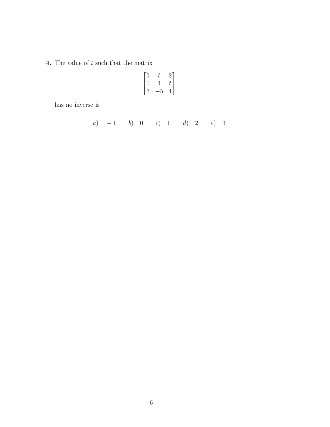**4.** The value of  $t$  such that the matrix

$$
\begin{bmatrix} 1 & t & 2 \\ 0 & 4 & t \\ 3 & -5 & 4 \end{bmatrix}
$$

has no inverse is

a) 
$$
-1
$$
 b) 0 c) 1 d) 2 e) 3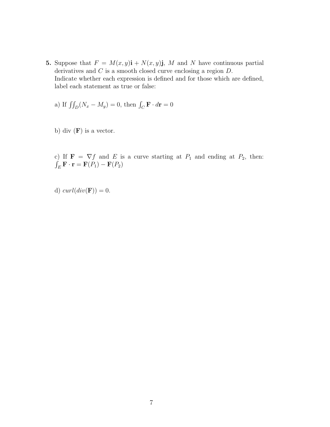5. Suppose that  $F = M(x, y)$ **i** +  $N(x, y)$ **j**, M and N have continuous partial derivatives and C is a smooth closed curve enclosing a region  $D$ . Indicate whether each expression is defined and for those which are defined, label each statement as true or false:

a) If  $\iint_D (N_x - M_y) = 0$ , then  $\int_C \mathbf{F} \cdot d\mathbf{r} = 0$ 

b) div  $(F)$  is a vector.

c) If  $\mathbf{F} = \nabla f$  and E is a curve starting at  $P_1$  and ending at  $P_2$ , then:  $\int_E \mathbf{F} \cdot \mathbf{r} = \mathbf{F}(P_1) - \mathbf{F}(P_2)$ 

d)  $curl(div(\mathbf{F})) = 0.$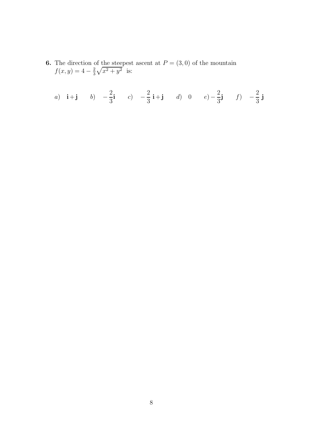**6.** The direction of the steepest ascent at  $P = (3,0)$  of the mountain  $f(x, y) = 4 - \frac{2}{3}$  $\frac{2}{3}\sqrt{x^2+y^2}$  is:

a) **i**+**j** b) 
$$
-\frac{2}{3}
$$
**i** c)  $-\frac{2}{3}$ **i**+**j** d) 0 e)  $-\frac{2}{3}$ **j** f)  $-\frac{2}{3}$ **j**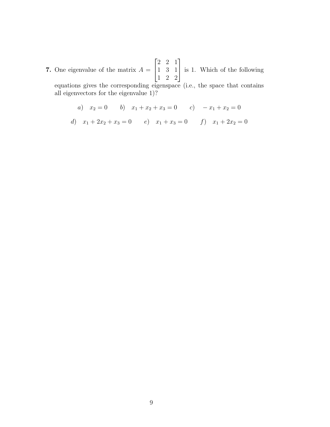7. One eigenvalue of the matrix  $A =$  $\sqrt{ }$  $\overline{1}$ 2 2 1 1 3 1 1 2 2 1 is 1. Which of the following equations gives the corresponding eigenspace (i.e., the space that contains all eigenvectors for the eigenvalue 1)?

a) 
$$
x_2 = 0
$$
 b)  $x_1 + x_2 + x_3 = 0$  c)  $-x_1 + x_2 = 0$   
d)  $x_1 + 2x_2 + x_3 = 0$  e)  $x_1 + x_3 = 0$  f)  $x_1 + 2x_2 = 0$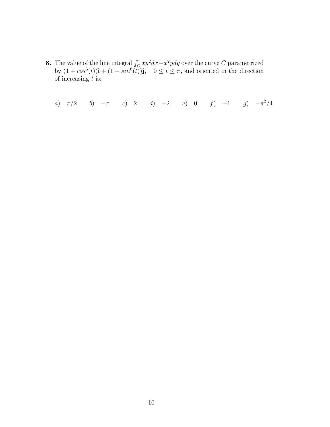**8.** The value of the line integral  $\int_C xy^2 dx + x^2 y dy$  over the curve C parametrized by  $(1 + cos^3(t))\mathbf{i} + (1 - sin^6(t))\mathbf{j}$ ,  $0 \le t \le \pi$ , and oriented in the direction of increasing  $t$  is:

a)  $\pi/2$  b)  $-\pi$  c) 2 d)  $-2$  e) 0 f)  $-1$  g)  $-\pi^2/4$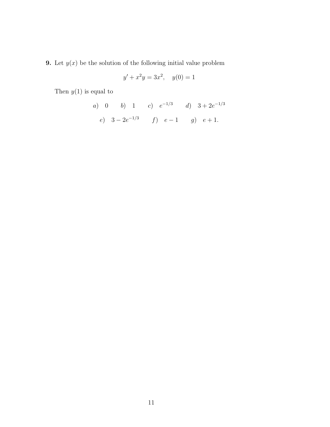**9.** Let  $y(x)$  be the solution of the following initial value problem

$$
y' + x^2y = 3x^2, \quad y(0) = 1
$$

Then  $y(1)$  is equal to

a) 0 b) 1 c) 
$$
e^{-1/3}
$$
 d)  $3 + 2e^{-1/3}$   
e)  $3 - 2e^{-1/3}$  f)  $e - 1$  g)  $e + 1$ .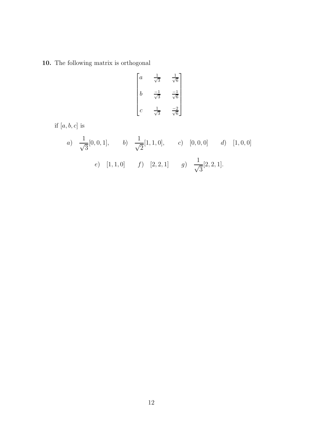# 10. The following matrix is orthogonal

$$
\begin{bmatrix} a & \frac{1}{\sqrt{3}} & \frac{1}{\sqrt{6}} \\ b & \frac{-1}{\sqrt{3}} & \frac{-1}{\sqrt{6}} \\ c & \frac{1}{\sqrt{3}} & \frac{-2}{\sqrt{6}} \end{bmatrix}
$$

if  $\left[a, b, c\right]$  is

a) 
$$
\frac{1}{\sqrt{3}}[0, 0, 1],
$$
 b)  $\frac{1}{\sqrt{2}}[1, 1, 0],$  c)  $[0, 0, 0]$  d)  $[1, 0, 0]$   
e)  $[1, 1, 0]$  f)  $[2, 2, 1]$  g)  $\frac{1}{\sqrt{3}}[2, 2, 1].$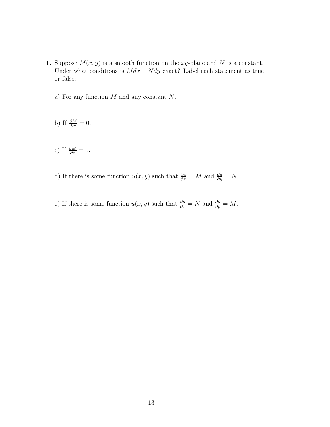- 11. Suppose  $M(x, y)$  is a smooth function on the xy-plane and N is a constant. Under what conditions is  $Mdx + Ndy$  exact? Label each statement as true or false:
	- a) For any function M and any constant N.

b) If 
$$
\frac{\partial M}{\partial y} = 0
$$
.

c) If 
$$
\frac{\partial M}{\partial x} = 0
$$
.

- d) If there is some function  $u(x, y)$  such that  $\frac{\partial u}{\partial x} = M$  and  $\frac{\partial u}{\partial y} = N$ .
- e) If there is some function  $u(x, y)$  such that  $\frac{\partial u}{\partial x} = N$  and  $\frac{\partial u}{\partial y} = M$ .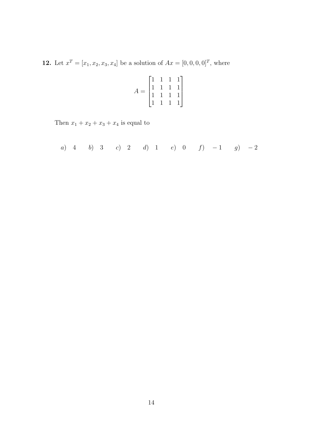**12.** Let  $x^T = [x_1, x_2, x_3, x_4]$  be a solution of  $Ax = [0, 0, 0, 0]^T$ , where

$$
A = \begin{bmatrix} 1 & 1 & 1 & 1 \\ 1 & 1 & 1 & 1 \\ 1 & 1 & 1 & 1 \\ 1 & 1 & 1 & 1 \end{bmatrix}
$$

Then  $x_1 + x_2 + x_3 + x_4$  is equal to

a) 4 b) 3 c) 2 d) 1 e) 0 f) 
$$
-1
$$
 g)  $-2$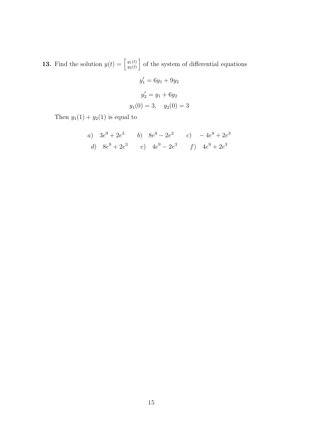**13.** Find the solution  $y(t) = \begin{bmatrix} y_1(t) \\ y_2(t) \end{bmatrix}$  $\left[\begin{smallmatrix} y_1(t) \\ y_2(t) \end{smallmatrix}\right]$  of the system of differential equations

$$
y'_1 = 6y_1 + 9y_2
$$

$$
y'_2 = y_1 + 6y_2
$$

$$
y_1(0) = 3, \quad y_2(0) = 3
$$

Then  $y_1(1) + y_2(1)$  is equal to

a) 
$$
3e^9 + 2e^3
$$
 b)  $8e^9 - 2e^3$  c)  $-4e^9 + 2e^3$   
d)  $8e^9 + 2e^3$  e)  $4e^9 - 2e^3$  f)  $4e^9 + 2e^3$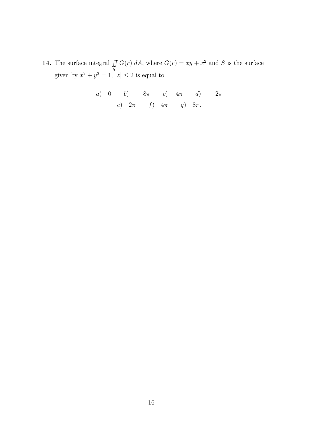14. The surface integral  $\int$ S  $\iint G(r) dA$ , where  $G(r) = xy + x^2$  and S is the surface given by  $x^2 + y^2 = 1$ ,  $|z| \le 2$  is equal to

a) 0 b) 
$$
-8\pi
$$
 c)  $-4\pi$  d)  $-2\pi$   
e)  $2\pi$  f)  $4\pi$  g)  $8\pi$ .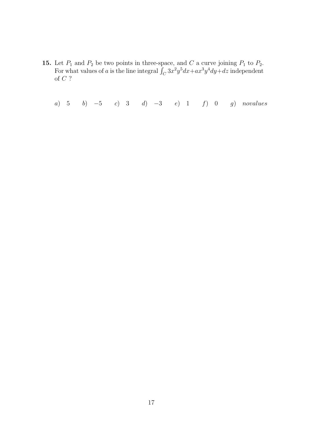**15.** Let  $P_1$  and  $P_2$  be two points in three-space, and C a curve joining  $P_1$  to  $P_2$ . For what values of a is the line integral  $\int_C 3x^2y^5dx + ax^3y^4dy + dz$  independent of  ${\cal C}$  ?

a) 5 b)  $-5$  c) 3 d)  $-3$  e) 1 f) 0 g) novalues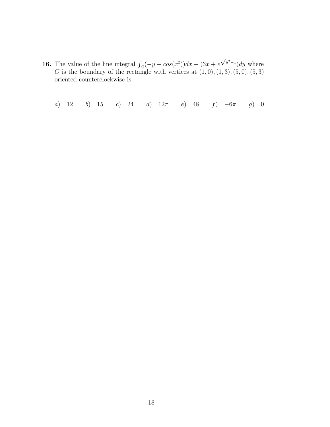**16.** The value of the line integral  $\int_C (-y + \cos(x^2))dx + (3x + e^x)dx$  $\sqrt{y^2-1}$ )dy where C is the boundary of the rectangle with vertices at  $(1,0), (1,3), (5,0), (5,3)$ oriented counterclockwise is:

a) 12 b) 15 c) 24 d)  $12\pi$  e) 48 f)  $-6\pi$  g) 0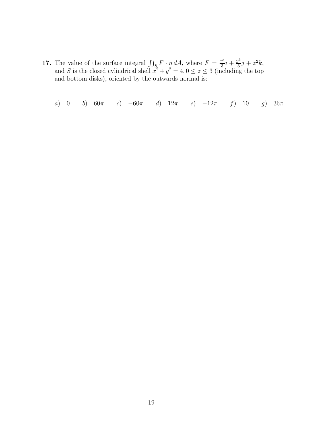- **17.** The value of the surface integral  $\iint_S F \cdot n dA$ , where  $F = \frac{x^3}{3}$  $\frac{x^3}{3}i + \frac{y^3}{3}$  $\frac{j^3}{3}j + z^2k,$ and S is the closed cylindrical shell  $x^2 + y^2 = 4$ ,  $0 \le z \le 3$  (including the top and bottom disks), oriented by the outwards normal is:
	- a) 0 b)  $60\pi$  c)  $-60\pi$  d)  $12\pi$  e)  $-12\pi$  f) 10 g)  $36\pi$